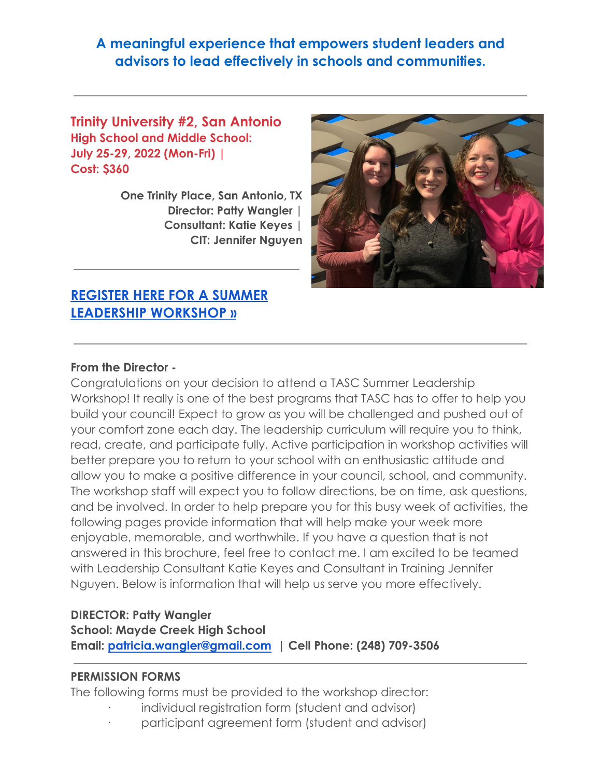# **A meaningful experience that empowers student leaders and advisors to lead effectively in schools and communities.**

**Trinity University #2, San Antonio High School and Middle School: July 25-29, 2022 (Mon-Fri) | Cost: \$360**

> **One Trinity Place, San Antonio, TX Director: Patty Wangler | Consultant: Katie Keyes | CIT: Jennifer Nguyen**



# **[REGISTER HERE FOR A SUMMER](https://www.tasconline.org/summer-leadership-workshops) [LEADERSHIP WORKSHOP »](https://www.tasconline.org/summer-leadership-workshops)**

#### **From the Director -**

Congratulations on your decision to attend a TASC Summer Leadership Workshop! It really is one of the best programs that TASC has to offer to help you build your council! Expect to grow as you will be challenged and pushed out of your comfort zone each day. The leadership curriculum will require you to think, read, create, and participate fully. Active participation in workshop activities will better prepare you to return to your school with an enthusiastic attitude and allow you to make a positive difference in your council, school, and community. The workshop staff will expect you to follow directions, be on time, ask questions, and be involved. In order to help prepare you for this busy week of activities, the following pages provide information that will help make your week more enjoyable, memorable, and worthwhile. If you have a question that is not answered in this brochure, feel free to contact me. I am excited to be teamed with Leadership Consultant Katie Keyes and Consultant in Training Jennifer Nguyen. Below is information that will help us serve you more effectively.

### **DIRECTOR: Patty Wangler School: Mayde Creek High School Email: patricia.wangler@gmail.com | Cell Phone: (248) 709-3506**

#### **PERMISSION FORMS**

The following forms must be provided to the workshop director:

- individual registration form (student and advisor)
- participant agreement form (student and advisor)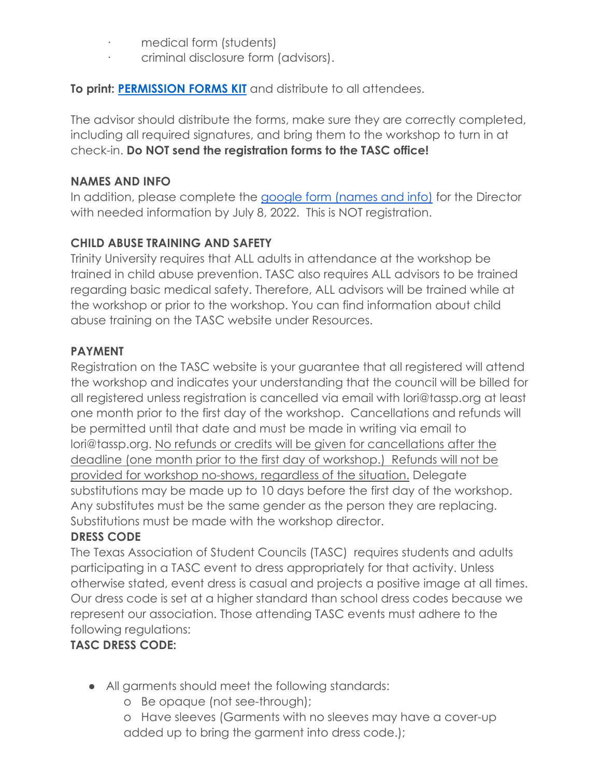- medical form (students)
- · criminal disclosure form (advisors).

**To print: [PERMISSION FORMS KIT](https://www.tasconline.org/assets/SUMMER_LEADERSHIP_WORKSHOPS/2022_SLW_FORM_KIT_ONSITE.docx)** and distribute to all attendees.

The advisor should distribute the forms, make sure they are correctly completed, including all required signatures, and bring them to the workshop to turn in at check-in. **Do NOT send the registration forms to the TASC office!**

### **NAMES AND INFO**

In addition, please complete the [google form \(names](https://forms.gle/fvZFbQSb78CZ6rTt5) and info) for the Director with needed information by July 8, 2022. This is NOT registration.

# **CHILD ABUSE TRAINING AND SAFETY**

Trinity University requires that ALL adults in attendance at the workshop be trained in child abuse prevention. TASC also requires ALL advisors to be trained regarding basic medical safety. Therefore, ALL advisors will be trained while at the workshop or prior to the workshop. You can find information about child abuse training on the TASC website under Resources.

## **PAYMENT**

Registration on the TASC website is your guarantee that all registered will attend the workshop and indicates your understanding that the council will be billed for all registered unless registration is cancelled via email with lori@tassp.org at least one month prior to the first day of the workshop. Cancellations and refunds will be permitted until that date and must be made in writing via email to lori@tassp.org. No refunds or credits will be given for cancellations after the deadline (one month prior to the first day of workshop.) Refunds will not be provided for workshop no-shows, regardless of the situation. Delegate substitutions may be made up to 10 days before the first day of the workshop. Any substitutes must be the same gender as the person they are replacing. Substitutions must be made with the workshop director.

## **DRESS CODE**

The Texas Association of Student Councils (TASC) requires students and adults participating in a TASC event to dress appropriately for that activity. Unless otherwise stated, event dress is casual and projects a positive image at all times. Our dress code is set at a higher standard than school dress codes because we represent our association. Those attending TASC events must adhere to the following regulations:

# **TASC DRESS CODE:**

- **●** All garments should meet the following standards:
	- o Be opaque (not see-through);
	- o Have sleeves (Garments with no sleeves may have a cover-up added up to bring the garment into dress code.);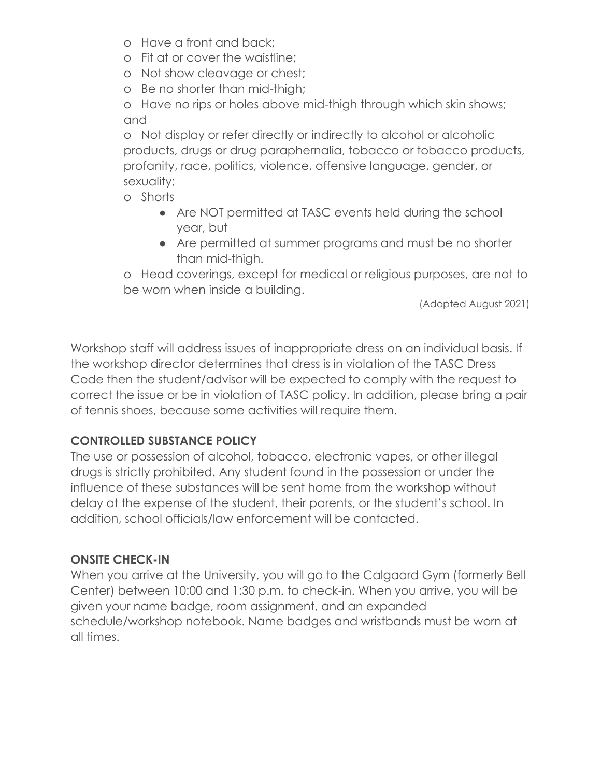- o Have a front and back;
- o Fit at or cover the waistline;
- o Not show cleavage or chest;
- o Be no shorter than mid-thigh;

o Have no rips or holes above mid-thigh through which skin shows; and

o Not display or refer directly or indirectly to alcohol or alcoholic products, drugs or drug paraphernalia, tobacco or tobacco products, profanity, race, politics, violence, offensive language, gender, or sexuality;

- o Shorts
	- Are NOT permitted at TASC events held during the school year, but
	- Are permitted at summer programs and must be no shorter than mid-thigh.

o Head coverings, except for medical or religious purposes, are not to be worn when inside a building.

(Adopted August 2021)

Workshop staff will address issues of inappropriate dress on an individual basis. If the workshop director determines that dress is in violation of the TASC Dress Code then the student/advisor will be expected to comply with the request to correct the issue or be in violation of TASC policy. In addition, please bring a pair of tennis shoes, because some activities will require them.

## **CONTROLLED SUBSTANCE POLICY**

The use or possession of alcohol, tobacco, electronic vapes, or other illegal drugs is strictly prohibited. Any student found in the possession or under the influence of these substances will be sent home from the workshop without delay at the expense of the student, their parents, or the student's school. In addition, school officials/law enforcement will be contacted.

## **ONSITE CHECK-IN**

When you arrive at the University, you will go to the Calgaard Gym (formerly Bell Center) between 10:00 and 1:30 p.m. to check-in. When you arrive, you will be given your name badge, room assignment, and an expanded schedule/workshop notebook. Name badges and wristbands must be worn at all times.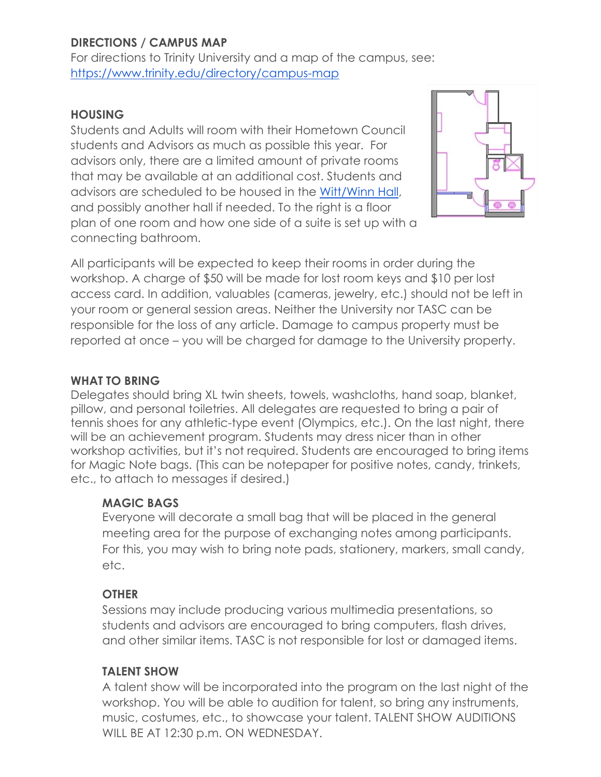# **DIRECTIONS / CAMPUS MAP**

For directions to Trinity University and a map of the campus, see: <https://www.trinity.edu/directory/campus-map>

#### **HOUSING**

Students and Adults will room with their Hometown Council students and Advisors as much as possible this year. For advisors only, there are a limited amount of private rooms that may be available at an additional cost. Students and advisors are scheduled to be housed in the [Witt/Winn](https://www.trinity.edu/directory/departments-offices/residential-life/housing-options/first-year/witt-winn) Hall, and possibly another hall if needed. To the right is a floor plan of one room and how one side of a suite is set up with a connecting bathroom.



All participants will be expected to keep their rooms in order during the workshop. A charge of \$50 will be made for lost room keys and \$10 per lost access card. In addition, valuables (cameras, jewelry, etc.) should not be left in your room or general session areas. Neither the University nor TASC can be responsible for the loss of any article. Damage to campus property must be reported at once – you will be charged for damage to the University property.

### **WHAT TO BRING**

Delegates should bring XL twin sheets, towels, washcloths, hand soap, blanket, pillow, and personal toiletries. All delegates are requested to bring a pair of tennis shoes for any athletic-type event (Olympics, etc.). On the last night, there will be an achievement program. Students may dress nicer than in other workshop activities, but it's not required. Students are encouraged to bring items for Magic Note bags. (This can be notepaper for positive notes, candy, trinkets, etc., to attach to messages if desired.)

#### **MAGIC BAGS**

Everyone will decorate a small bag that will be placed in the general meeting area for the purpose of exchanging notes among participants. For this, you may wish to bring note pads, stationery, markers, small candy, etc.

#### **OTHER**

Sessions may include producing various multimedia presentations, so students and advisors are encouraged to bring computers, flash drives, and other similar items. TASC is not responsible for lost or damaged items.

#### **TALENT SHOW**

A talent show will be incorporated into the program on the last night of the workshop. You will be able to audition for talent, so bring any instruments, music, costumes, etc., to showcase your talent. TALENT SHOW AUDITIONS WILL BE AT 12:30 p.m. ON WEDNESDAY.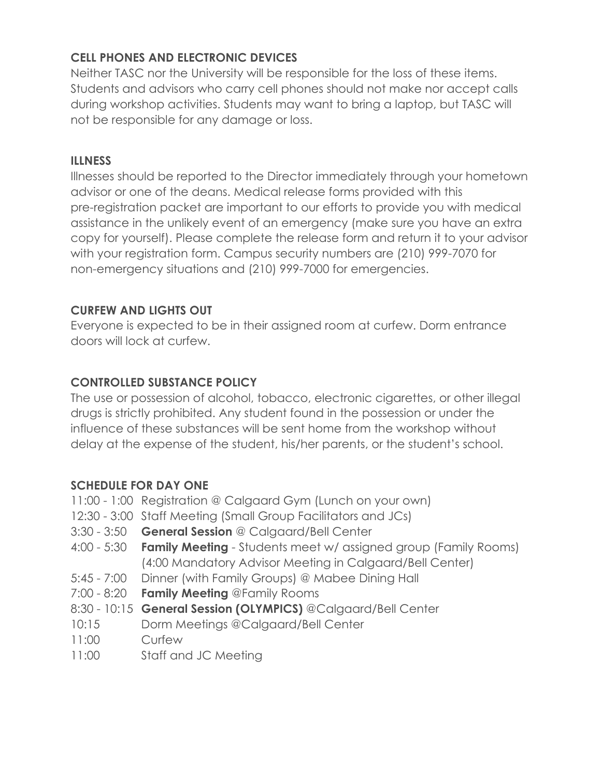## **CELL PHONES AND ELECTRONIC DEVICES**

Neither TASC nor the University will be responsible for the loss of these items. Students and advisors who carry cell phones should not make nor accept calls during workshop activities. Students may want to bring a laptop, but TASC will not be responsible for any damage or loss.

### **ILLNESS**

Illnesses should be reported to the Director immediately through your hometown advisor or one of the deans. Medical release forms provided with this pre-registration packet are important to our efforts to provide you with medical assistance in the unlikely event of an emergency (make sure you have an extra copy for yourself). Please complete the release form and return it to your advisor with your registration form. Campus security numbers are (210) 999-7070 for non-emergency situations and (210) 999-7000 for emergencies.

## **CURFEW AND LIGHTS OUT**

Everyone is expected to be in their assigned room at curfew. Dorm entrance doors will lock at curfew.

## **CONTROLLED SUBSTANCE POLICY**

The use or possession of alcohol, tobacco, electronic cigarettes, or other illegal drugs is strictly prohibited. Any student found in the possession or under the influence of these substances will be sent home from the workshop without delay at the expense of the student, his/her parents, or the student's school.

## **SCHEDULE FOR DAY ONE**

- 11:00 1:00 Registration @ Calgaard Gym (Lunch on your own)
- 12:30 3:00 Staff Meeting (Small Group Facilitators and JCs)
- 3:30 3:50 **General Session** @ Calgaard/Bell Center
- 4:00 5:30 **Family Meeting** Students meet w/ assigned group (Family Rooms) (4:00 Mandatory Advisor Meeting in Calgaard/Bell Center)
- 5:45 7:00 Dinner (with Family Groups) @ Mabee Dining Hall
- 7:00 8:20 **Family Meeting** @Family Rooms
- 8:30 10:15 **General Session (OLYMPICS)** @Calgaard/Bell Center
- 10:15 Dorm Meetings @Calgaard/Bell Center
- 11:00 Curfew
- 11:00 Staff and JC Meeting